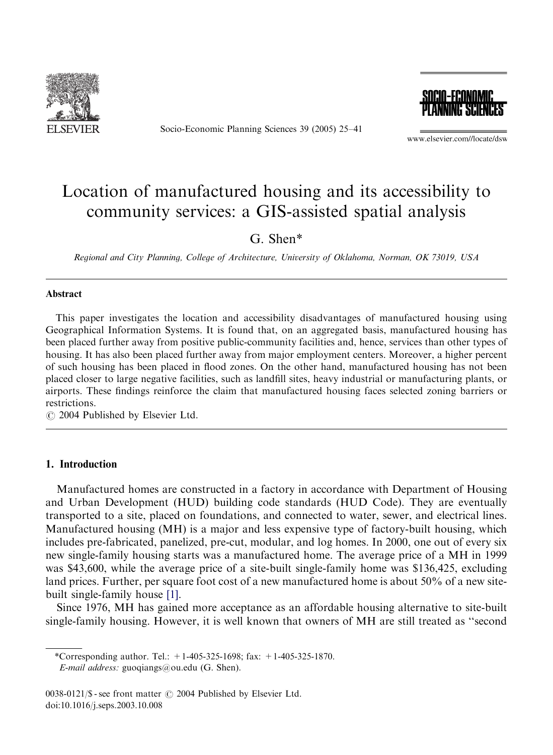

Socio-Economic Planning Sciences 39 (2005) 25–41



www.elsevier.com//locate/dsw

# Location of manufactured housing and its accessibility to community services: a GIS-assisted spatial analysis

G. Shen\*

Regional and City Planning, College of Architecture, University of Oklahoma, Norman, OK 73019, USA

#### Abstract

This paper investigates the location and accessibility disadvantages of manufactured housing using Geographical Information Systems. It is found that, on an aggregated basis, manufactured housing has been placed further away from positive public-community facilities and, hence, services than other types of housing. It has also been placed further away from major employment centers. Moreover, a higher percent of such housing has been placed in flood zones. On the other hand, manufactured housing has not been placed closer to large negative facilities, such as landfill sites, heavy industrial or manufacturing plants, or airports. These findings reinforce the claim that manufactured housing faces selected zoning barriers or restrictions.

 $\odot$  2004 Published by Elsevier Ltd.

### 1. Introduction

Manufactured homes are constructed in a factory in accordance with Department of Housing and Urban Development (HUD) building code standards (HUD Code). They are eventually transported to a site, placed on foundations, and connected to water, sewer, and electrical lines. Manufactured housing (MH) is a major and less expensive type of factory-built housing, which includes pre-fabricated, panelized, pre-cut, modular, and log homes. In 2000, one out of every six new single-family housing starts was a manufactured home. The average price of a MH in 1999 was \$43,600, while the average price of a site-built single-family home was \$136,425, excluding land prices. Further, per square foot cost of a new manufactured home is about 50% of a new sitebuilt single-family house [\[1\].](#page--1-0)

Since 1976, MH has gained more acceptance as an affordable housing alternative to site-built single-family housing. However, it is well known that owners of MH are still treated as ''second

\*Corresponding author. Tel.: +1-405-325-1698; fax: +1-405-325-1870. E-mail address: guoqiangs@ou.edu (G. Shen).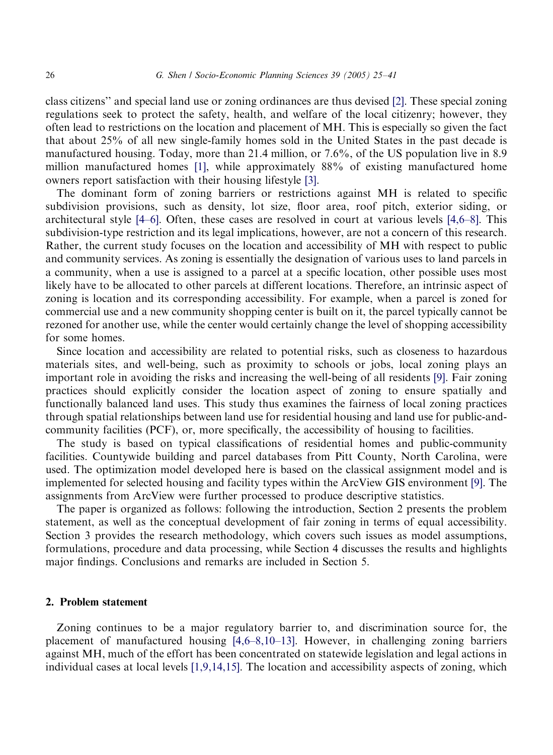class citizens'' and special land use or zoning ordinances are thus devised [\[2\].](#page--1-0) These special zoning regulations seek to protect the safety, health, and welfare of the local citizenry; however, they often lead to restrictions on the location and placement of MH. This is especially so given the fact that about 25% of all new single-family homes sold in the United States in the past decade is manufactured housing. Today, more than 21.4 million, or 7.6%, of the US population live in 8.9 million manufactured homes [\[1\],](#page--1-0) while approximately 88% of existing manufactured home owners report satisfaction with their housing lifestyle [\[3\].](#page--1-0)

The dominant form of zoning barriers or restrictions against MH is related to specific subdivision provisions, such as density, lot size, floor area, roof pitch, exterior siding, or architectural style [\[4–6\]](#page--1-0). Often, these cases are resolved in court at various levels [\[4,6–8\]](#page--1-0). This subdivision-type restriction and its legal implications, however, are not a concern of this research. Rather, the current study focuses on the location and accessibility of MH with respect to public and community services. As zoning is essentially the designation of various uses to land parcels in a community, when a use is assigned to a parcel at a specific location, other possible uses most likely have to be allocated to other parcels at different locations. Therefore, an intrinsic aspect of zoning is location and its corresponding accessibility. For example, when a parcel is zoned for commercial use and a new community shopping center is built on it, the parcel typically cannot be rezoned for another use, while the center would certainly change the level of shopping accessibility for some homes.

Since location and accessibility are related to potential risks, such as closeness to hazardous materials sites, and well-being, such as proximity to schools or jobs, local zoning plays an important role in avoiding the risks and increasing the well-being of all residents [\[9\]](#page--1-0). Fair zoning practices should explicitly consider the location aspect of zoning to ensure spatially and functionally balanced land uses. This study thus examines the fairness of local zoning practices through spatial relationships between land use for residential housing and land use for public-andcommunity facilities (PCF), or, more specifically, the accessibility of housing to facilities.

The study is based on typical classifications of residential homes and public-community facilities. Countywide building and parcel databases from Pitt County, North Carolina, were used. The optimization model developed here is based on the classical assignment model and is implemented for selected housing and facility types within the ArcView GIS environment [\[9\]](#page--1-0). The assignments from ArcView were further processed to produce descriptive statistics.

The paper is organized as follows: following the introduction, Section 2 presents the problem statement, as well as the conceptual development of fair zoning in terms of equal accessibility. Section 3 provides the research methodology, which covers such issues as model assumptions, formulations, procedure and data processing, while Section 4 discusses the results and highlights major findings. Conclusions and remarks are included in Section 5.

#### 2. Problem statement

Zoning continues to be a major regulatory barrier to, and discrimination source for, the placement of manufactured housing [\[4,6–8,10–13\]](#page--1-0). However, in challenging zoning barriers against MH, much of the effort has been concentrated on statewide legislation and legal actions in individual cases at local levels [\[1,9,14,15\].](#page--1-0) The location and accessibility aspects of zoning, which